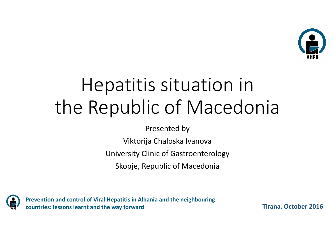

## Hepatitis situation in the Republic of Macedonia

Presented by

Viktorija Chaloska Ivanova

University Clinic of Gastroenterology

Skopje, Republic of Macedonia



**Prevention and control of Viral Hepatitis in Albania and the neighbouring countries: lessons learnt and the way forward**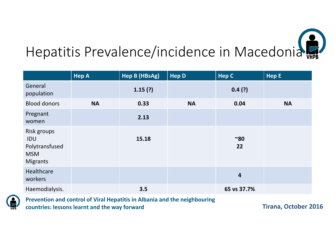

|                                                                              | <b>Hep A</b> | Hep B (HBsAg) | <b>Hep D</b> | Hep C          | <b>Hep E</b> |
|------------------------------------------------------------------------------|--------------|---------------|--------------|----------------|--------------|
| General<br>population                                                        |              | 1.15(?)       |              | 0.4(?)         |              |
| <b>Blood donors</b>                                                          | <b>NA</b>    | 0.33          | <b>NA</b>    | 0.04           | <b>NA</b>    |
| Pregnant<br>women                                                            |              | 2.13          |              |                |              |
| <b>Risk groups</b><br>IDU<br>Polytransfused<br><b>MSM</b><br><b>Migrants</b> |              | 15.18         |              | ~80<br>22      |              |
| Healthcare<br>workers                                                        |              |               |              | $\overline{4}$ |              |
| Haemodialysis.                                                               |              | 3.5           |              | 65 vs 37.7%    |              |



**Prevention and control of Viral Hepatitis in Albania and the neighbouring countries: lessons learnt and the way forward**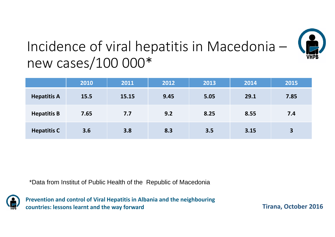

## Incidence of viral hepatitis in Macedonia – new cases/100 000\*

|                    | 2010 | 2011  | 2012 | 2013 | 2014 | 2015         |
|--------------------|------|-------|------|------|------|--------------|
| <b>Hepatitis A</b> | 15.5 | 15.15 | 9.45 | 5.05 | 29.1 | 7.85         |
| <b>Hepatitis B</b> | 7.65 | 7.7   | 9.2  | 8.25 | 8.55 | 7.4          |
| <b>Hepatitis C</b> | 3.6  | 3.8   | 8.3  | 3.5  | 3.15 | $\mathbf{3}$ |

\*Data from Institut of Public Health of the Republic of Macedonia



**Prevention and control of Viral Hepatitis in Albania and the neighbouring countries: lessons learnt and the way forward**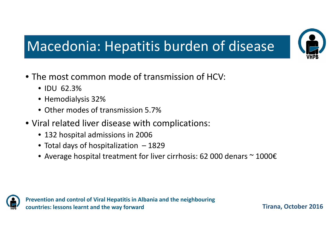

## Macedonia: Hepatitis burden of disease

- The most common mode of transmission of HCV:
	- IDU 62.3%
	- Hemodialysis 32%
	- Other modes of transmission 5.7%
- Viral related liver disease with complications:
	- 132 hospital admissions in 2006
	- Total days of hospitalization 1829
	- Average hospital treatment for liver cirrhosis: 62 000 denars ~ 1000€



**Prevention and control of Viral Hepatitis in Albania and the neighbouring countries: lessons learnt and the way forward**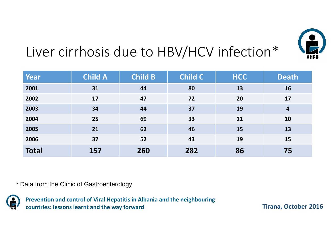

## Liver cirrhosis due to HBV/HCV infection\*

| Year         | <b>Child A</b> | <b>Child B</b> | <b>Child C</b> | <b>HCC</b> | <b>Death</b>   |
|--------------|----------------|----------------|----------------|------------|----------------|
| 2001         | 31             | 44             | 80             | 13         | <b>16</b>      |
| 2002         | 17             | 47             | 72             | 20         | 17             |
| 2003         | 34             | 44             | 37             | 19         | $\overline{4}$ |
| 2004         | 25             | 69             | 33             | 11         | 10             |
| 2005         | 21             | 62             | 46             | 15         | 13             |
| 2006         | 37             | 52             | 43             | 19         | 15             |
| <b>Total</b> | 157            | 260            | 282            | 86         | 75             |

\* Data from the Clinic of Gastroenterology



**Prevention and control of Viral Hepatitis in Albania and the neighbouring countries: lessons learnt and the way forward**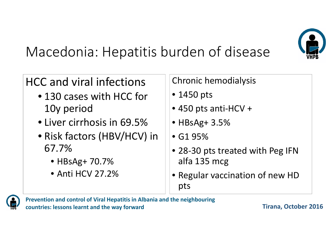

## Macedonia: Hepatitis burden of disease

## HCC and viral infections

- 130 cases with HCC for 10y period
- Liver cirrhosis in 69.5%
- Risk factors (HBV/HCV) in 67.7%
	- HBsAg+ 70.7%
	- Anti HCV 27.2%

### Chronic hemodialysis

- 1450 pts
- 450 pts anti‐HCV <sup>+</sup>
- HBsAg+ 3.5%
- G1 95%
- 28‐30 pts treated with Peg IFN alfa 135 mcg
- Regular vaccination of new HD pts



**Prevention and control of Viral Hepatitis in Albania and the neighbouring countries: lessons learnt and the way forward**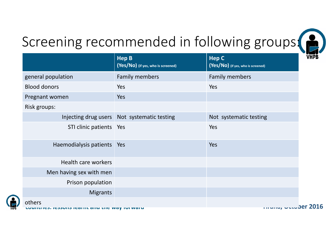

# Screening recommended in following groups:

|                                                               | <b>Hep B</b><br>(Yes/No) (if yes, who is screened) | <b>Hep C</b><br>(Yes/No) (if yes, who is screened) |  |
|---------------------------------------------------------------|----------------------------------------------------|----------------------------------------------------|--|
| general population                                            | <b>Family members</b>                              | <b>Family members</b>                              |  |
| <b>Blood donors</b>                                           | Yes                                                | Yes                                                |  |
| Pregnant women                                                | Yes                                                |                                                    |  |
| Risk groups:                                                  |                                                    |                                                    |  |
|                                                               | Injecting drug users Not systematic testing        | Not systematic testing                             |  |
| STI clinic patients   Yes                                     |                                                    | Yes                                                |  |
| Haemodialysis patients   Yes                                  |                                                    | Yes                                                |  |
| <b>Health care workers</b>                                    |                                                    |                                                    |  |
| Men having sex with men                                       |                                                    |                                                    |  |
| Prison population                                             |                                                    |                                                    |  |
| <b>Migrants</b>                                               |                                                    |                                                    |  |
| others<br>LUUIILIICO. ICOOUIIO ICAIIIL AIIU LIIC WAY IUI WAIU |                                                    | <b>THUND, USU</b>                                  |  |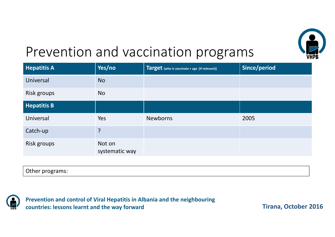

## Prevention and vaccination programs

| <b>Hepatitis A</b> | Yes/no                   | Target (who is vaccinate + age (if relevant)) | Since/period |
|--------------------|--------------------------|-----------------------------------------------|--------------|
| Universal          | <b>No</b>                |                                               |              |
| Risk groups        | <b>No</b>                |                                               |              |
| <b>Hepatitis B</b> |                          |                                               |              |
| Universal          | Yes                      | <b>Newborns</b>                               | 2005         |
| Catch-up           | ?                        |                                               |              |
| Risk groups        | Not on<br>systematic way |                                               |              |

### Other programs:



**Prevention and control of Viral Hepatitis in Albania and the neighbouring countries: lessons learnt and the way forward**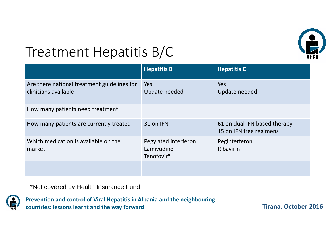

## Treatment Hepatitis B/C

|                                                                     | <b>Hepatitis B</b>                               | <b>Hepatitis C</b>                                      |
|---------------------------------------------------------------------|--------------------------------------------------|---------------------------------------------------------|
| Are there national treatment guidelines for<br>clinicians available | Yes<br>Update needed                             | Yes<br>Update needed                                    |
| How many patients need treatment                                    |                                                  |                                                         |
| How many patients are currently treated                             | 31 on IFN                                        | 61 on dual IFN based therapy<br>15 on IFN free regimens |
| Which medication is available on the<br>market                      | Pegylated interferon<br>Lamivudine<br>Tenofovir* | Peginterferon<br><b>Ribavirin</b>                       |
|                                                                     |                                                  |                                                         |

\*Not covered by Health Insurance Fund



**Prevention and control of Viral Hepatitis in Albania and the neighbouring countries: lessons learnt and the way forward**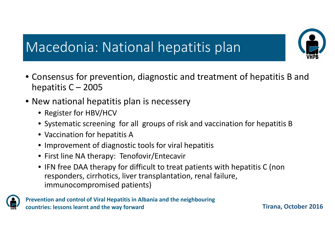## Macedonia: National hepatitis plan

- Consensus for prevention, diagnostic and treatment of hepatitis B and hepatitis  $C - 2005$
- New national hepatitis plan is necessery
	- Register for HBV/HCV
	- Systematic screening for all groups of risk and vaccination for hepatitis B
	- Vaccination for hepatitis A
	- Improvement of diagnostic tools for viral hepatitis
	- First line NA therapy: Tenofovir/Entecavir
	- IFN free DAA therapy for difficult to treat patients with hepatitis C (non responders, cirrhotics, liver transplantation, renal failure, immunocompromised patients)



**Prevention and control of Viral Hepatitis in Albania and the neighbouring countries: lessons learnt and the way forward**